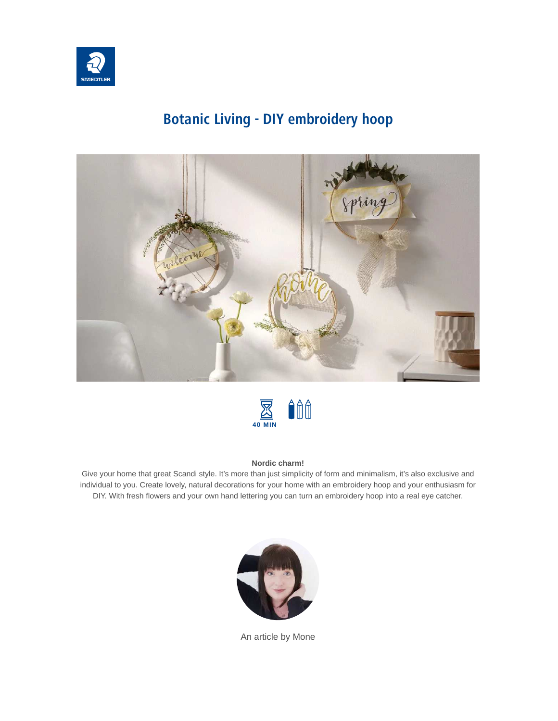

# **Botanic Living - DIY embroidery hoop**





#### **Nordic charm!**

Give your home that great Scandi style. It's more than just simplicity of form and minimalism, it's also exclusive and individual to you. Create lovely, natural decorations for your home with an embroidery hoop and your enthusiasm for DIY. With fresh flowers and your own hand lettering you can turn an embroidery hoop into a real eye catcher.



An article by Mone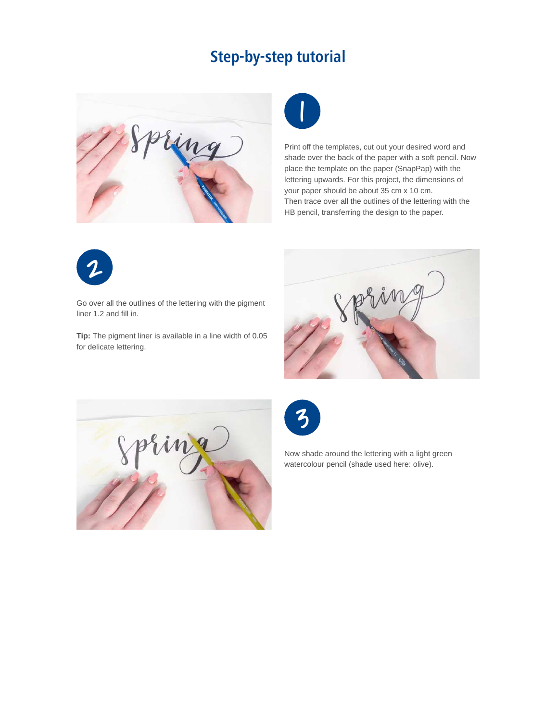# **Step-by-step tutorial**





Print off the templates, cut out your desired word and shade over the back of the paper with a soft pencil. Now place the template on the paper (SnapPap) with the lettering upwards. For this project, the dimensions of your paper should be about 35 cm x 10 cm. Then trace over all the outlines of the lettering with the HB pencil, transferring the design to the paper.



Go over all the outlines of the lettering with the pigment liner 1.2 and fill in.

**Tip:** The pigment liner is available in a line width of 0.05 for delicate lettering.







Now shade around the lettering with a light green watercolour pencil (shade used here: olive).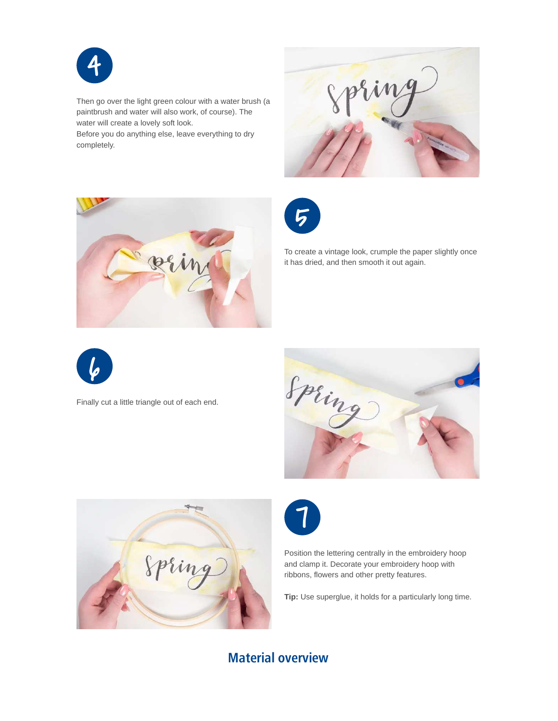

Then go over the light green colour with a water brush (a paintbrush and water will also work, of course). The water will create a lovely soft look. Before you do anything else, leave everything to dry

completely.







To create a vintage look, crumple the paper slightly once it has dried, and then smooth it out again.



Finally cut a little triangle out of each end.







Position the lettering centrally in the embroidery hoop and clamp it. Decorate your embroidery hoop with ribbons, flowers and other pretty features.

**Tip:** Use superglue, it holds for a particularly long time.

### **Material overview**